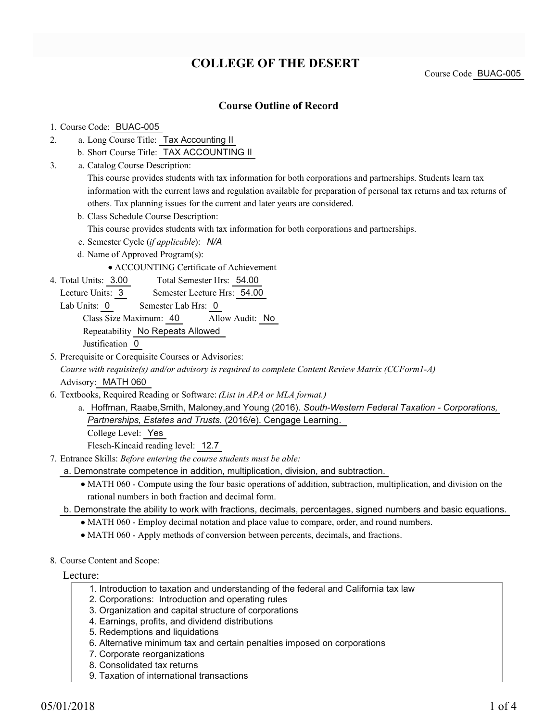# **COLLEGE OF THE DESERT**

Course Code BUAC-005

### **Course Outline of Record**

#### 1. Course Code: BUAC-005

- a. Long Course Title: Tax Accounting II 2.
	- b. Short Course Title: TAX ACCOUNTING II
- Catalog Course Description: a. 3.

This course provides students with tax information for both corporations and partnerships. Students learn tax information with the current laws and regulation available for preparation of personal tax returns and tax returns of others. Tax planning issues for the current and later years are considered.

b. Class Schedule Course Description:

This course provides students with tax information for both corporations and partnerships.

- c. Semester Cycle (*if applicable*): *N/A*
- d. Name of Approved Program(s):

ACCOUNTING Certificate of Achievement

- Total Semester Hrs: 54.00 4. Total Units: 3.00
	- Lecture Units: 3 Semester Lecture Hrs: 54.00
	- Lab Units: 0 Semester Lab Hrs: 0

Class Size Maximum: 40 Allow Audit: No

Repeatability No Repeats Allowed

Justification 0

5. Prerequisite or Corequisite Courses or Advisories:

*Course with requisite(s) and/or advisory is required to complete Content Review Matrix (CCForm1-A)* Advisory: MATH 060

- Textbooks, Required Reading or Software: *(List in APA or MLA format.)* 6.
	- a. Hoffman, Raabe,Smith, Maloney,and Young (2016). South-Western Federal Taxation Corporations, *Partnerships, Estates and Trusts.* (2016/e). Cengage Learning.

College Level: Yes

Flesch-Kincaid reading level: 12.7

Entrance Skills: *Before entering the course students must be able:* 7.

a. Demonstrate competence in addition, multiplication, division, and subtraction.

- MATH 060 Compute using the four basic operations of addition, subtraction, multiplication, and division on the rational numbers in both fraction and decimal form.
- b. Demonstrate the ability to work with fractions, decimals, percentages, signed numbers and basic equations.
	- MATH 060 Employ decimal notation and place value to compare, order, and round numbers.
	- MATH 060 Apply methods of conversion between percents, decimals, and fractions.
- 8. Course Content and Scope:

#### Lecture:

- 1. Introduction to taxation and understanding of the federal and California tax law
- 2. Corporations: Introduction and operating rules
- 3. Organization and capital structure of corporations
- 4. Earnings, profits, and dividend distributions
- 5. Redemptions and liquidations
- 6. Alternative minimum tax and certain penalties imposed on corporations
- 7. Corporate reorganizations
- 8. Consolidated tax returns
- 9. Taxation of international transactions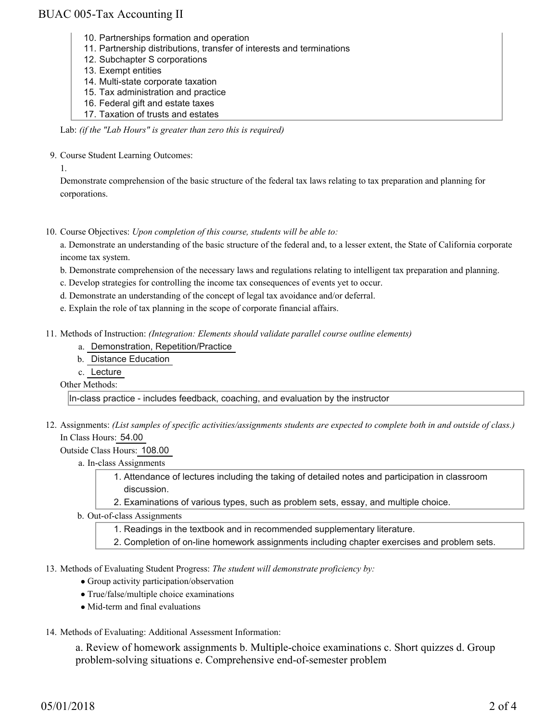### BUAC 005-Tax Accounting II

- 10. Partnerships formation and operation
- 11. Partnership distributions, transfer of interests and terminations
- 12. Subchapter S corporations
- 13. Exempt entities
- 14. Multi-state corporate taxation
- 15. Tax administration and practice
- 16. Federal gift and estate taxes
- 17. Taxation of trusts and estates

Lab: *(if the "Lab Hours" is greater than zero this is required)*

9. Course Student Learning Outcomes:

1.

Demonstrate comprehension of the basic structure of the federal tax laws relating to tax preparation and planning for corporations.

10. Course Objectives: Upon completion of this course, students will be able to:

a. Demonstrate an understanding of the basic structure of the federal and, to a lesser extent, the State of California corporate income tax system.

- b. Demonstrate comprehension of the necessary laws and regulations relating to intelligent tax preparation and planning.
- c. Develop strategies for controlling the income tax consequences of events yet to occur.
- d. Demonstrate an understanding of the concept of legal tax avoidance and/or deferral.
- e. Explain the role of tax planning in the scope of corporate financial affairs.
- 11. Methods of Instruction: *(Integration: Elements should validate parallel course outline elements)* 
	- a. Demonstration, Repetition/Practice
	- b. Distance Education
	- c. Lecture

Other Methods:

In-class practice - includes feedback, coaching, and evaluation by the instructor

12. Assignments: (List samples of specific activities/assignments students are expected to complete both in and outside of class.) In Class Hours: 54.00

Outside Class Hours: 108.00

- a. In-class Assignments
	- Attendance of lectures including the taking of detailed notes and participation in classroom 1. discussion.
	- 2. Examinations of various types, such as problem sets, essay, and multiple choice.
- b. Out-of-class Assignments
	- 1. Readings in the textbook and in recommended supplementary literature.
	- 2. Completion of on-line homework assignments including chapter exercises and problem sets.
- 13. Methods of Evaluating Student Progress: The student will demonstrate proficiency by:
	- Group activity participation/observation
	- True/false/multiple choice examinations
	- Mid-term and final evaluations
- 14. Methods of Evaluating: Additional Assessment Information:

a. Review of homework assignments b. Multiple-choice examinations c. Short quizzes d. Group problem-solving situations e. Comprehensive end-of-semester problem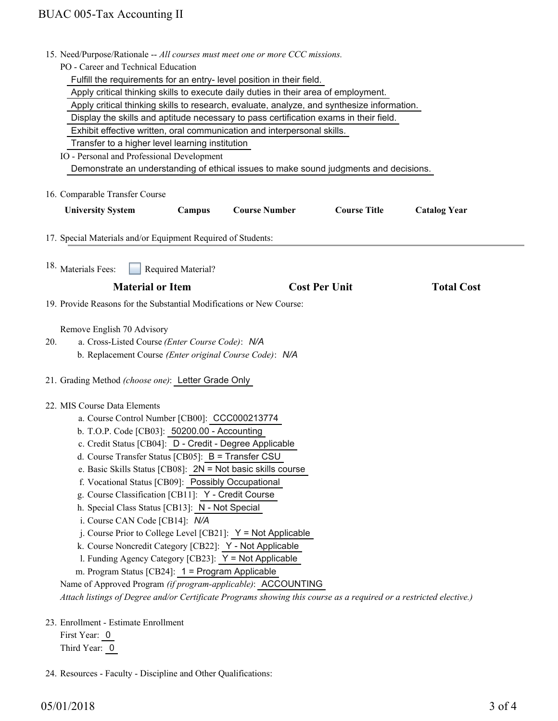|     | 15. Need/Purpose/Rationale -- All courses must meet one or more CCC missions.                                      |                                                                       |                      |                     |  |
|-----|--------------------------------------------------------------------------------------------------------------------|-----------------------------------------------------------------------|----------------------|---------------------|--|
|     | PO - Career and Technical Education                                                                                |                                                                       |                      |                     |  |
|     |                                                                                                                    | Fulfill the requirements for an entry- level position in their field. |                      |                     |  |
|     | Apply critical thinking skills to execute daily duties in their area of employment.                                |                                                                       |                      |                     |  |
|     | Apply critical thinking skills to research, evaluate, analyze, and synthesize information.                         |                                                                       |                      |                     |  |
|     | Display the skills and aptitude necessary to pass certification exams in their field.                              |                                                                       |                      |                     |  |
|     | Exhibit effective written, oral communication and interpersonal skills.                                            |                                                                       |                      |                     |  |
|     | Transfer to a higher level learning institution                                                                    |                                                                       |                      |                     |  |
|     | IO - Personal and Professional Development                                                                         |                                                                       |                      |                     |  |
|     | Demonstrate an understanding of ethical issues to make sound judgments and decisions.                              |                                                                       |                      |                     |  |
|     |                                                                                                                    |                                                                       |                      |                     |  |
|     | 16. Comparable Transfer Course                                                                                     |                                                                       |                      |                     |  |
|     | <b>University System</b><br>Campus                                                                                 | <b>Course Number</b>                                                  | <b>Course Title</b>  | <b>Catalog Year</b> |  |
|     |                                                                                                                    |                                                                       |                      |                     |  |
|     | 17. Special Materials and/or Equipment Required of Students:                                                       |                                                                       |                      |                     |  |
|     |                                                                                                                    |                                                                       |                      |                     |  |
|     | 18. Materials Fees:<br>Required Material?                                                                          |                                                                       |                      |                     |  |
|     |                                                                                                                    |                                                                       |                      |                     |  |
|     | <b>Material or Item</b>                                                                                            |                                                                       | <b>Cost Per Unit</b> | <b>Total Cost</b>   |  |
|     | 19. Provide Reasons for the Substantial Modifications or New Course:                                               |                                                                       |                      |                     |  |
|     |                                                                                                                    |                                                                       |                      |                     |  |
|     | Remove English 70 Advisory                                                                                         |                                                                       |                      |                     |  |
| 20. | a. Cross-Listed Course (Enter Course Code): N/A                                                                    |                                                                       |                      |                     |  |
|     | b. Replacement Course (Enter original Course Code): N/A                                                            |                                                                       |                      |                     |  |
|     |                                                                                                                    |                                                                       |                      |                     |  |
|     | 21. Grading Method (choose one): Letter Grade Only                                                                 |                                                                       |                      |                     |  |
|     |                                                                                                                    |                                                                       |                      |                     |  |
|     | 22. MIS Course Data Elements                                                                                       |                                                                       |                      |                     |  |
|     | a. Course Control Number [CB00]: CCC000213774                                                                      |                                                                       |                      |                     |  |
|     | b. T.O.P. Code [CB03]: 50200.00 - Accounting                                                                       |                                                                       |                      |                     |  |
|     | c. Credit Status [CB04]: D - Credit - Degree Applicable                                                            |                                                                       |                      |                     |  |
|     | d. Course Transfer Status [CB05]: $B =$ Transfer CSU                                                               |                                                                       |                      |                     |  |
|     | e. Basic Skills Status [CB08]: 2N = Not basic skills course                                                        |                                                                       |                      |                     |  |
|     | f. Vocational Status [CB09]: Possibly Occupational                                                                 |                                                                       |                      |                     |  |
|     | g. Course Classification [CB11]: Y - Credit Course                                                                 |                                                                       |                      |                     |  |
|     | h. Special Class Status [CB13]: N - Not Special                                                                    |                                                                       |                      |                     |  |
|     | i. Course CAN Code [CB14]: N/A                                                                                     |                                                                       |                      |                     |  |
|     | j. Course Prior to College Level [CB21]: $Y = Not$ Applicable                                                      |                                                                       |                      |                     |  |
|     | k. Course Noncredit Category [CB22]: Y - Not Applicable                                                            |                                                                       |                      |                     |  |
|     | 1. Funding Agency Category [CB23]: Y = Not Applicable                                                              |                                                                       |                      |                     |  |
|     | m. Program Status [CB24]: 1 = Program Applicable                                                                   |                                                                       |                      |                     |  |
|     | Name of Approved Program (if program-applicable): ACCOUNTING                                                       |                                                                       |                      |                     |  |
|     | Attach listings of Degree and/or Certificate Programs showing this course as a required or a restricted elective.) |                                                                       |                      |                     |  |
|     |                                                                                                                    |                                                                       |                      |                     |  |
|     | 23. Enrollment - Estimate Enrollment                                                                               |                                                                       |                      |                     |  |
|     | First Year: 0                                                                                                      |                                                                       |                      |                     |  |

Third Year:  $\overline{0}$ 

24. Resources - Faculty - Discipline and Other Qualifications: